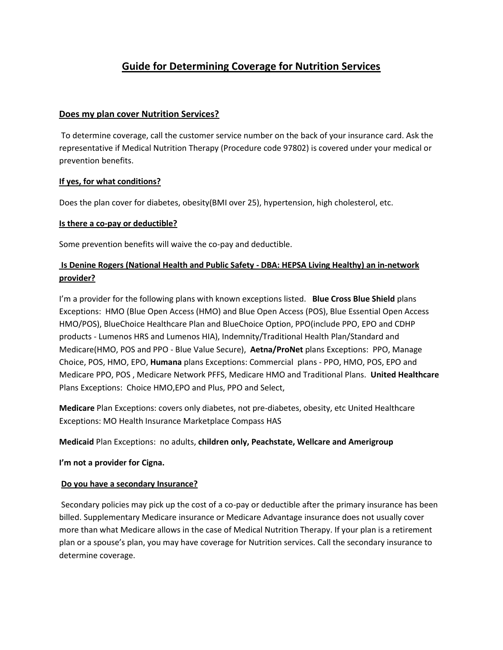# **Guide for Determining Coverage for Nutrition Services**

#### **Does my plan cover Nutrition Services?**

To determine coverage, call the customer service number on the back of your insurance card. Ask the representative if Medical Nutrition Therapy (Procedure code 97802) is covered under your medical or prevention benefits.

### **If yes, for what conditions?**

Does the plan cover for diabetes, obesity(BMI over 25), hypertension, high cholesterol, etc.

#### **Is there a co-pay or deductible?**

Some prevention benefits will waive the co-pay and deductible.

# **Is Denine Rogers (National Health and Public Safety - DBA: HEPSA Living Healthy) an in-network provider?**

I'm a provider for the following plans with known exceptions listed. **Blue Cross Blue Shield** plans Exceptions: HMO (Blue Open Access (HMO) and Blue Open Access (POS), Blue Essential Open Access HMO/POS), BlueChoice Healthcare Plan and BlueChoice Option, PPO(include PPO, EPO and CDHP products - Lumenos HRS and Lumenos HIA), Indemnity/Traditional Health Plan/Standard and Medicare(HMO, POS and PPO - Blue Value Secure), **Aetna/ProNet** plans Exceptions: PPO, Manage Choice, POS, HMO, EPO, **Humana** plans Exceptions: Commercial plans - PPO, HMO, POS, EPO and Medicare PPO, POS , Medicare Network PFFS, Medicare HMO and Traditional Plans. **United Healthcare** Plans Exceptions: Choice HMO,EPO and Plus, PPO and Select,

**Medicare** Plan Exceptions: covers only diabetes, not pre-diabetes, obesity, etc United Healthcare Exceptions: MO Health Insurance Marketplace Compass HAS

#### **Medicaid** Plan Exceptions: no adults, **children only, Peachstate, Wellcare and Amerigroup**

#### **I'm not a provider for Cigna.**

#### **Do you have a secondary Insurance?**

Secondary policies may pick up the cost of a co-pay or deductible after the primary insurance has been billed. Supplementary Medicare insurance or Medicare Advantage insurance does not usually cover more than what Medicare allows in the case of Medical Nutrition Therapy. If your plan is a retirement plan or a spouse's plan, you may have coverage for Nutrition services. Call the secondary insurance to determine coverage.